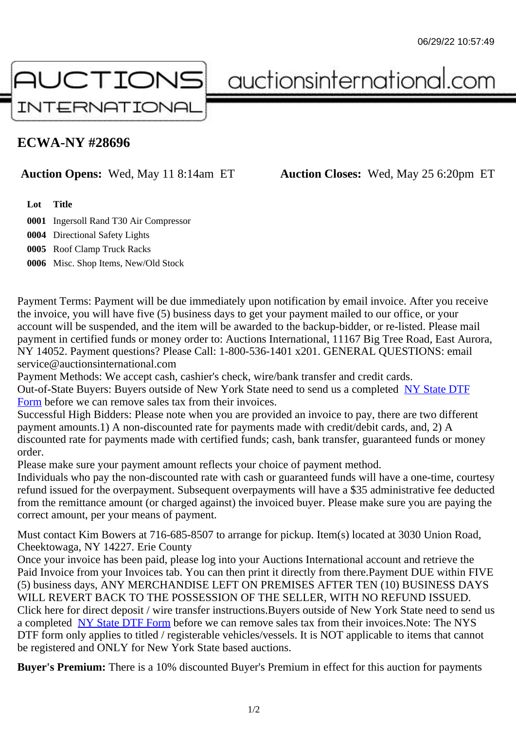## ECWA-NY #28696

Auction Opens: Wed, May 11 8:14am ET Auction Closes: Wed, May 25 6:20pm ET

Lot Title

0001 Ingersoll Rand T30 Air Compressor

0004 Directional Safety Lights

0005 Roof Clamp Truck Racks

0006 Misc. Shop Items, New/Old Stock

Payment Terms: Payment will be due immediately upon notification by email invoice. After you receive the invoice, you will have five (5) business days to get your payment mailed to our office, or your account will be suspended, and the item will be awarded to the backup-bidder, or re-listed. Please mail payment in certified funds or money order to: Auctions International, 11167 Big Tree Road, East Aurora, NY 14052. Payment questions? Please Call: 1-800-536-1401 x201. GENERAL QUESTIONS: email service@auctionsinternational.com

Payment Methods: We accept cash, cashier's check, wire/bank transfer and credit cards. Out-of-State Buyers: Buyers outside of New York State need to send us a com blestate DTF Form before we can remove sales tax from their invoices.

Successful High Bidders: Please note when you are provided an invoice to pay, there are two different payment amounts.1) A non-discounted rate for payments made with credit/de[bit cards, and](https://www.auctionsinternational.com/auxiliary/downloads/DTF_Form/dtf_fill_in.pdf), 2) A [disco](https://www.auctionsinternational.com/auxiliary/downloads/DTF_Form/dtf_fill_in.pdf)unted rate for payments made with certified funds; cash, bank transfer, guaranteed funds or mone order.

Please make sure your payment amount reflects your choice of payment method.

Individuals who pay the non-discounted rate with cash or guaranteed funds will have a one-time, courte refund issued for the overpayment. Subsequent overpayments will have a \$35 administrative fee deduc from the remittance amount (or charged against) the invoiced buyer. Please make sure you are paying correct amount, per your means of payment.

Must contact Kim Bowers at 716-685-8507 to arrange for pickup. Item(s) located at 3030 Union Road, Cheektowaga, NY 14227. Erie County

Once your invoice has been paid, please log into your Auctions International account and retrieve the Paid Invoice from your Invoices tab. You can then print it directly from there. Payment DUE within FIVE (5) business days, ANY MERCHANDISE LEFT ON PREMISES AFTER TEN (10) BUSINESS DAYS WILL REVERT BACK TO THE POSSESSION OF THE SELLER, WITH NO REFUND ISSUED. Click here for direct deposit / wire transfer instructions. Buyers outside of New York State need to send use a completed NY State DTF Form before we can remove sales tax from their invoices. Note: The NYS DTF form only applies to titled / registerable vehicles/vessels. It is NOT applicable to items that cannot be registered and ONLY for New York State based auctions.

Buyer's Pre[mium: There is a 10](https://www.auctionsinternational.com/auxiliary/downloads/DTF_Form/dtf_fill_in.pdf)% discounted Buyer's Premium in effect for this auction for payments